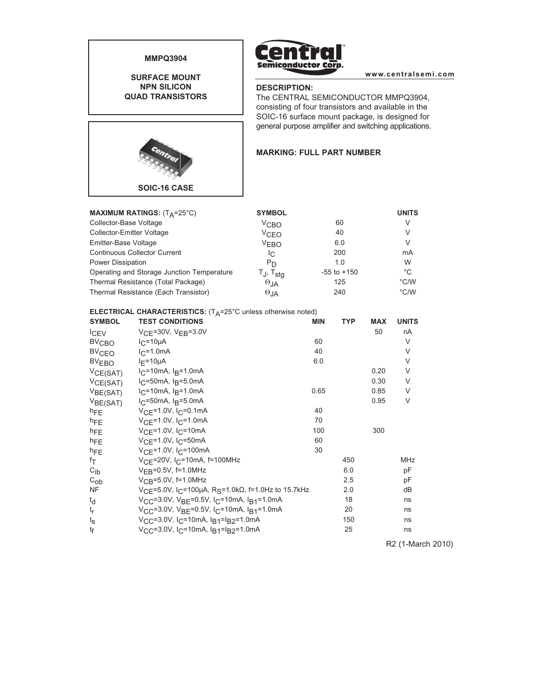

**SURFACE MOUNT NPN SILICON QUAD TRANSISTORS**



**www.centralsemi.com**

# **DESCRIPTION:**

The CENTRAL SEMICONDUCTOR MMPQ3904, consisting of four transistors and available in the SOIC-16 surface mount package, is designed for general purpose amplifier and switching applications.

### **MARKING: FULL PART NUMBER**

| MAXIMUM RATINGS: $(T_A=25^{\circ}C)$       | <b>SYMBOL</b>        |                 | <b>UNITS</b>  |
|--------------------------------------------|----------------------|-----------------|---------------|
| Collector-Base Voltage                     | V <sub>CBO</sub>     | 60              | V             |
| <b>Collector-Emitter Voltage</b>           | VCEO                 | 40              | V             |
| Emitter-Base Voltage                       | <b>VFRO</b>          | 6.0             | V             |
| <b>Continuous Collector Current</b>        | IC.                  | 200             | mA            |
| Power Dissipation                          | $P_D$                | 1.0             | W             |
| Operating and Storage Junction Temperature | T., T <sub>stg</sub> | $-55$ to $+150$ | °C            |
| Thermal Resistance (Total Package)         | $\Theta_{JA}$        | 125             | $\degree$ C/W |
| Thermal Resistance (Each Transistor)       | $\Theta_{JA}$        | 240             | $\degree$ C/W |

#### **ELECTRICAL CHARACTERISTICS:** (T<sub>A</sub>=25°C unless otherwise noted)

| <b>SYMBOL</b>        | <b>TEST CONDITIONS</b>                                                                     | <b>MIN</b> | <b>TYP</b> | <b>MAX</b> | <b>UNITS</b> |
|----------------------|--------------------------------------------------------------------------------------------|------------|------------|------------|--------------|
| <b>CEV</b>           | $VCF = 30V$ , $VEB = 3.0V$                                                                 |            |            | 50         | nA           |
| $BV_{\text{CBO}}$    | $I_C = 10\mu A$                                                                            | 60         |            |            | V            |
| $BV_{CEO}$           | $I_C = 1.0mA$                                                                              | 40         |            |            | V            |
| BV <sub>EBO</sub>    | $I_F = 10 \mu A$                                                                           | 6.0        |            |            | V            |
| VCE(SAT)             | $I_C = 10 \text{mA}$ , $I_B = 1.0 \text{mA}$                                               |            |            | 0.20       | V            |
| VCE(SAT)             | $IC=50mA$ , $IB=5.0mA$                                                                     |            |            | 0.30       | $\vee$       |
| V <sub>BE(SAT)</sub> | $IC=10mA, IB=1.0mA$                                                                        | 0.65       |            | 0.85       | $\vee$       |
| V <sub>BE(SAT)</sub> | $IC=50mA$ , $IB=5.0mA$                                                                     |            |            | 0.95       | $\vee$       |
| $h_{FE}$             | $V_{\text{CF}} = 1.0 V, I_{\text{C}} = 0.1 \text{mA}$                                      | 40         |            |            |              |
| $h_{FE}$             | $V_{CF} = 1.0V, I_{C} = 1.0mA$                                                             | 70         |            |            |              |
| $h_{FE}$             | $V_{\text{CF}}$ =1.0V, I <sub>C</sub> =10mA                                                | 100        |            | 300        |              |
| $h_{\text{FF}}$      | $V_{\text{CE}}$ =1.0V, $I_{\text{C}}$ =50mA                                                | 60         |            |            |              |
| $h_{FE}$             | $V_{\text{CF}}$ =1.0V, I <sub>C</sub> =100mA                                               | 30         |            |            |              |
| fτ                   | $V_{CF}$ =20V, I <sub>C</sub> =10mA, f=100MHz                                              |            | 450        |            | <b>MHz</b>   |
| $C_{ib}$             | $V_{FR} = 0.5V$ , f=1.0MHz                                                                 |            | 6.0        |            | pF           |
| $C_{ob}$             | $V_{CR} = 5.0V$ , f=1.0MHz                                                                 |            | 2.5        |            | pF           |
| <b>NF</b>            | $V_{\text{CF}}$ =5.0V, I <sub>C</sub> =100μA, R <sub>S</sub> =1.0kΩ, f=1.0Hz to 15.7kHz    |            | 2.0        |            | dB           |
| $t_{d}$              | $V_{\text{CC}}$ =3.0V, V <sub>BF</sub> =0.5V, I <sub>C</sub> =10mA, I <sub>B1</sub> =1.0mA |            | 18         |            | ns           |
| $t_{r}$              | $V_{CC}$ =3.0V, V <sub>BF</sub> =0.5V, I <sub>C</sub> =10mA, I <sub>B1</sub> =1.0mA        |            | 20         |            | ns           |
| $t_{\rm S}$          | $V_{CC}$ =3.0V, I <sub>C</sub> =10mA, I <sub>B1</sub> =I <sub>B2</sub> =1.0mA              |            | 150        |            | ns           |
| tf                   | $V_{CC}$ =3.0V, I <sub>C</sub> =10mA, I <sub>B1</sub> =I <sub>B2</sub> =1.0mA              |            | 25         |            | ns           |